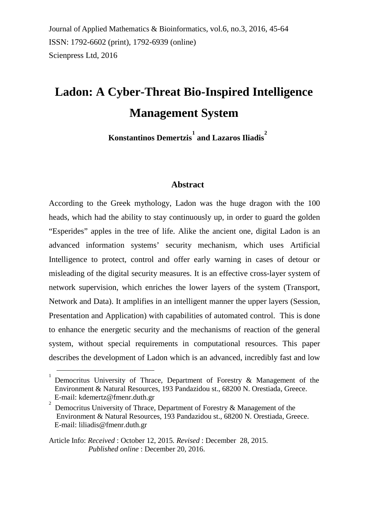Journal of Applied Mathematics & Bioinformatics, vol.6, no.3, 2016, 45-64 ISSN: 1792-6602 (print), 1792-6939 (online) Scienpress Ltd, 2016

# **Ladon: A Cyber-Threat Bio-Inspired Intelligence Management System**

**Konstantinos Demertzis [1](#page-0-0) and Lazaros Iliadis [2](#page-0-1)**

#### **Abstract**

According to the Greek mythology, Ladon was the huge dragon with the 100 heads, which had the ability to stay continuously up, in order to guard the golden "Esperides" apples in the tree of life. Alike the ancient one, digital Ladon is an advanced information systems' security mechanism, which uses Artificial Intelligence to protect, control and offer early warning in cases of detour or misleading of the digital security measures. It is an effective cross-layer system of network supervision, which enriches the lower layers of the system (Transport, Network and Data). It amplifies in an intelligent manner the upper layers (Session, Presentation and Application) with capabilities of automated control. This is done to enhance the energetic security and the mechanisms of reaction of the general system, without special requirements in computational resources. This paper describes the development of Ladon which is an advanced, incredibly fast and low

 $\overline{a}$ 

<span id="page-0-0"></span><sup>1</sup> Democritus University of Thrace, Department of Forestry & Management of the Environment & Natural Resources, 193 Pandazidou st., 68200 N. Orestiada, Greece. E-mail: [kdemertz@fmenr.duth.gr](mailto:kdemertz@fmenr.duth.gr)

<span id="page-0-1"></span><sup>2</sup> Democritus University of Thrace, Department of Forestry & Management of the Environment & Natural Resources, 193 Pandazidou st., 68200 N. Orestiada, Greece. E-mail: [liliadis@fmenr.duth.gr](mailto:liliadis@fmenr.duth.gr)

Article Info: *Received* : October 12, 2015*. Revised* : December 28, 2015. *Published online* : December 20, 2016.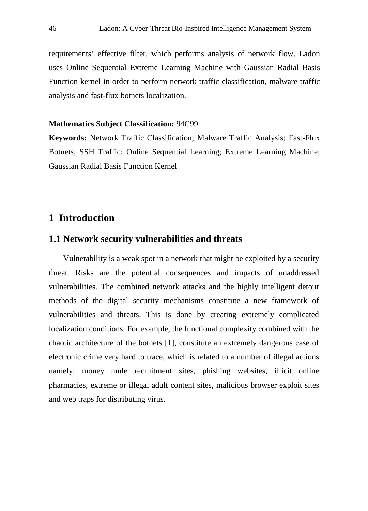requirements' effective filter, which performs analysis of network flow. Ladon uses Online Sequential Extreme Learning Machine with Gaussian Radial Basis Function kernel in order to perform network traffic classification, malware traffic analysis and fast-flux botnets localization.

#### **Mathematics Subject Classification:** 94C99

**Keywords:** Network Traffic Classification; Malware Traffic Analysis; Fast-Flux Botnets; SSH Traffic; Online Sequential Learning; Extreme Learning Machine; Gaussian Radial Basis Function Κernel

# **1 Introduction**

## **1.1 Network security vulnerabilities and threats**

Vulnerability is a weak spot in a network that might be exploited by a security threat. Risks are the potential consequences and impacts of unaddressed vulnerabilities. The combined network attacks and the highly intelligent detour methods of the digital security mechanisms constitute a new framework of vulnerabilities and threats. This is done by creating extremely complicated localization conditions. For example, the functional complexity combined with the chaotic architecture of the botnets [1], constitute an extremely dangerous case of electronic crime very hard to trace, which is related to a number of illegal actions namely: money mule recruitment sites, phishing websites, illicit online pharmacies, extreme or illegal adult content sites, malicious browser exploit sites and web traps for distributing virus.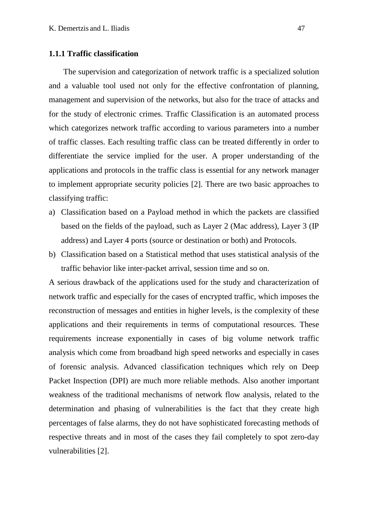#### **1.1.1 Traffic classification**

The supervision and categorization of network traffic is a specialized solution and a valuable tool used not only for the effective confrontation of planning, management and supervision of the networks, but also for the trace of attacks and for the study of electronic crimes. Traffic Classification is an automated process which categorizes network traffic according to various parameters into a number of traffic classes. Each resulting traffic class can be treated differently in order to differentiate the service implied for the user. A proper understanding of the applications and protocols in the traffic class is essential for any network manager to implement appropriate security policies [2]. There are two basic approaches to classifying traffic:

- a) Classification based on a Payload method in which the packets are classified based on the fields of the payload, such as Layer 2 (Mac address), Layer 3 (IP address) and Layer 4 ports (source or destination or both) and Protocols.
- b) Classification based on a Statistical method that uses statistical analysis of the traffic behavior like inter-packet arrival, session time and so on.

A serious drawback of the applications used for the study and characterization of network traffic and especially for the cases of encrypted traffic, which imposes the reconstruction of messages and entities in higher levels, is the complexity of these applications and their requirements in terms of computational resources. These requirements increase exponentially in cases of big volume network traffic analysis which come from broadband high speed networks and especially in cases of forensic analysis. Advanced classification techniques which rely on Deep Packet Inspection (DPI) are much more reliable methods. Also another important weakness of the traditional mechanisms of network flow analysis, related to the determination and phasing of vulnerabilities is the fact that they create high percentages of false alarms, they do not have sophisticated forecasting methods of respective threats and in most of the cases they fail completely to spot zero-day vulnerabilities [2].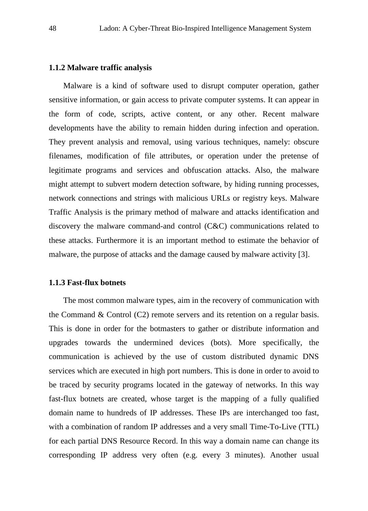#### **1.1.2 Malware traffic analysis**

Malware is a kind of software used to disrupt computer operation, gather sensitive information, or gain access to private computer systems. It can appear in the form of code, scripts, active content, or any other. Recent malware developments have the ability to remain hidden during infection and operation. They prevent analysis and removal, using various techniques, namely: obscure filenames, modification of file attributes, or operation under the pretense of legitimate programs and services and obfuscation attacks. Also, the malware might attempt to subvert modern detection software, by hiding running processes, network connections and strings with malicious URLs or registry keys. Malware Traffic Analysis is the primary method of malware and attacks identification and discovery the malware command-and control (C&C) communications related to these attacks. Furthermore it is an important method to estimate the behavior of malware, the purpose of attacks and the damage caused by malware activity [3].

#### **1.1.3 Fast-flux botnets**

The most common malware types, aim in the recovery of communication with the Command & Control  $(C2)$  remote servers and its retention on a regular basis. This is done in order for the botmasters to gather or distribute information and upgrades towards the undermined devices (bots). More specifically, the communication is achieved by the use of custom distributed dynamic DNS services which are executed in high port numbers. This is done in order to avoid to be traced by security programs located in the gateway of networks. In this way fast-flux botnets are created, whose target is the mapping of a fully qualified domain name to hundreds of IP addresses. These IPs are interchanged too fast, with a combination of random IP addresses and a very small Time-To-Live (TTL) for each partial DNS Resource Record. In this way a domain name can change its corresponding IP address very often (e.g. every 3 minutes). Another usual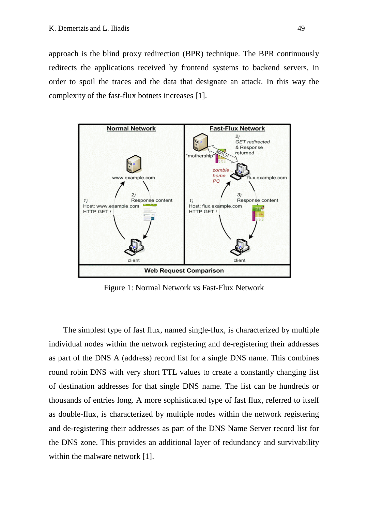approach is the blind proxy redirection (BPR) technique. The BPR continuously redirects the applications received by frontend systems to backend servers, in order to spoil the traces and the data that designate an attack. In this way the complexity of the fast-flux botnets increases [1].



Figure 1: Normal Network vs Fast-Flux Network

The simplest type of fast flux, named single-flux, is characterized by multiple individual nodes within the network registering and de-registering their addresses as part of the DNS A (address) record list for a single DNS name. This combines round robin DNS with very short TTL values to create a constantly changing list of destination addresses for that single DNS name. The list can be hundreds or thousands of entries long. A more sophisticated type of fast flux, referred to itself as double-flux, is characterized by multiple nodes within the network registering and de-registering their addresses as part of the DNS Name Server record list for the DNS zone. This provides an additional layer of redundancy and survivability within the malware network [1].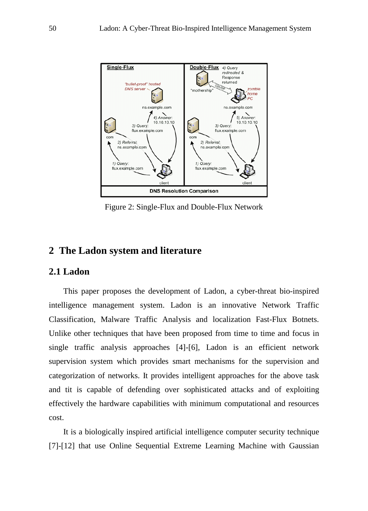

Figure 2: Single-Flux and Double-Flux Network

## **2 The Ladon system and literature**

#### **2.1 Ladon**

This paper proposes the development of Ladon, a cyber-threat bio-inspired intelligence management system. Ladon is an innovative Network Traffic Classification, Malware Traffic Analysis and localization Fast-Flux Botnets. Unlike other techniques that have been proposed from time to time and focus in single traffic analysis approaches [4]-[6], Ladon is an efficient network supervision system which provides smart mechanisms for the supervision and categorization of networks. It provides intelligent approaches for the above task and tit is capable of defending over sophisticated attacks and of exploiting effectively the hardware capabilities with minimum computational and resources cost.

It is a biologically inspired artificial intelligence computer security technique [7]-[12] that use Online Sequential Extreme Learning Machine with Gaussian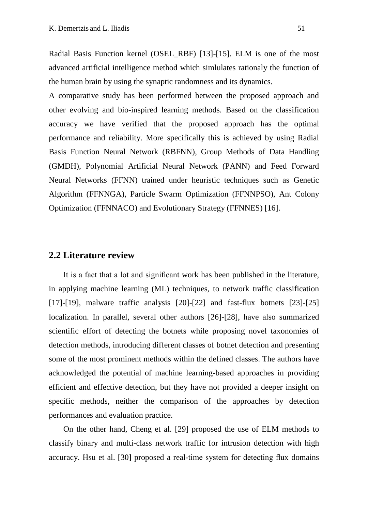Radial Basis Function kernel (OSEL\_RBF) [13]-[15]. ELM is one of the most advanced artificial intelligence method which simlulates rationaly the function of the human brain by using the synaptic randomness and its dynamics.

A comparative study has been performed between the proposed approach and other evolving and bio-inspired learning methods. Based on the classification accuracy we have verified that the proposed approach has the optimal performance and reliability. More specifically this is achieved by using Radial Basis Function Neural Network (RBFNN), Group Methods of Data Handling (GMDH), Polynomial Artificial Neural Network (PANN) and Feed Forward Neural Networks (FFNN) trained under heuristic techniques such as Genetic Algorithm (FFNNGA), Particle Swarm Optimization (FFNNPSO), Ant Colony Optimization (FFNNACO) and Evolutionary Strategy (FFNNES) [16].

### **2.2 Literature review**

It is a fact that a lot and significant work has been published in the literature, in applying machine learning (ML) techniques, to network traffic classification [17]-[19], malware traffic analysis [20]-[22] and fast-flux botnets [23]-[25] localization. In parallel, several other authors [26]-[28], have also summarized scientific effort of detecting the botnets while proposing novel taxonomies of detection methods, introducing different classes of botnet detection and presenting some of the most prominent methods within the defined classes. The authors have acknowledged the potential of machine learning-based approaches in providing efficient and effective detection, but they have not provided a deeper insight on specific methods, neither the comparison of the approaches by detection performances and evaluation practice.

On the other hand, Cheng et al. [29] proposed the use of ELM methods to classify binary and multi-class network traffic for intrusion detection with high accuracy. Hsu et al. [30] proposed a real-time system for detecting flux domains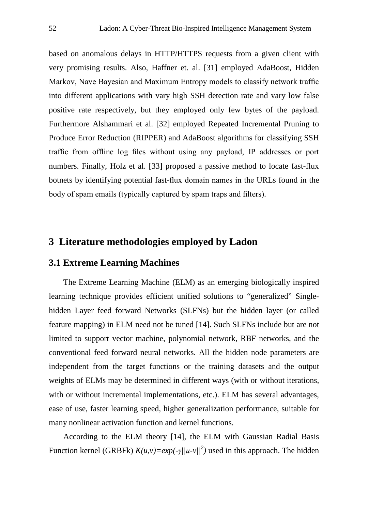based on anomalous delays in HTTP/HTTPS requests from a given client with very promising results. Also, Haffner et. al. [31] employed AdaBoost, Hidden Markov, Nave Bayesian and Maximum Entropy models to classify network traffic into different applications with vary high SSH detection rate and vary low false positive rate respectively, but they employed only few bytes of the payload. Furthermore Alshammari et al. [32] employed Repeated Incremental Pruning to Produce Error Reduction (RIPPER) and AdaBoost algorithms for classifying SSH traffic from offline log files without using any payload, IP addresses or port numbers. Finally, Holz et al. [33] proposed a passive method to locate fast-flux botnets by identifying potential fast-flux domain names in the URLs found in the body of spam emails (typically captured by spam traps and filters).

# **3 Literature methodologies employed by Ladon**

## **3.1 Extreme Learning Machines**

The Extreme Learning Machine (ELM) as an emerging biologically inspired learning technique provides efficient unified solutions to "generalized" Singlehidden Layer feed forward Networks (SLFNs) but the hidden layer (or called feature mapping) in ELM need not be tuned [14]. Such SLFNs include but are not limited to support vector machine, polynomial network, RBF networks, and the conventional feed forward neural networks. All the hidden node parameters are independent from the target functions or the training datasets and the output weights of ELMs may be determined in different ways (with or without iterations, with or without incremental implementations, etc.). ELM has several advantages, ease of use, faster learning speed, higher generalization performance, suitable for many nonlinear activation function and kernel functions.

According to the ELM theory [14], the ELM with Gaussian Radial Basis Function kernel (GRBFk)  $K(u, v) = exp(-\gamma ||u - v|)^2$ ) used in this approach. The hidden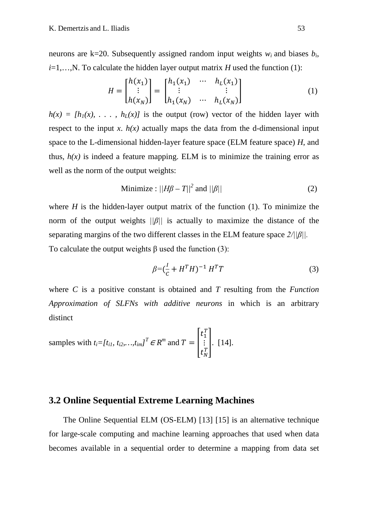neurons are k=20. Subsequently assigned random input weights  $w_i$  and biases  $b_i$ ,  $i=1,...,N$ . To calculate the hidden layer output matrix *H* used the function (1):

$$
H = \begin{bmatrix} h(x_1) \\ \vdots \\ h(x_N) \end{bmatrix} = \begin{bmatrix} h_1(x_1) & \cdots & h_L(x_1) \\ \vdots & & \vdots \\ h_1(x_N) & \cdots & h_L(x_N) \end{bmatrix}
$$
 (1)

 $h(x) = [h_1(x), \ldots, h_t(x)]$  is the output (row) vector of the hidden layer with respect to the input *x*.  $h(x)$  actually maps the data from the d-dimensional input space to the L-dimensional hidden-layer feature space (ELM feature space) *H*, and thus,  $h(x)$  is indeed a feature mapping. ELM is to minimize the training error as well as the norm of the output weights:

Minimize: 
$$
||H\beta - T||^2
$$
 and  $||\beta||$  (2)

where  $H$  is the hidden-layer output matrix of the function  $(1)$ . To minimize the norm of the output weights *||β||* is actually to maximize the distance of the separating margins of the two different classes in the ELM feature space *2/||β||.* To calculate the output weights  $\beta$  used the function (3):

$$
\beta = (\frac{I}{c} + H^T H)^{-1} H^T T \tag{3}
$$

where *C* is a positive constant is obtained and *T* resulting from the *Function Approximation of SLFNs with additive neurons* in which is an arbitrary distinct

samples with  $t_i = [t_{i1}, t_{i2},...,t_{im}]^T \in R^m$  and  $T = \begin{bmatrix} 1 \\ 1 \end{bmatrix}$  $t_1^T$ ⋮  $t_N^T$  $\left| . \right|$ . [14].

# **3.2 Online Sequential Extreme Learning Machines**

The Online Sequential ELM (OS-ELM) [13] [15] is an alternative technique for large-scale computing and machine learning approaches that used when data becomes available in a sequential order to determine a mapping from data set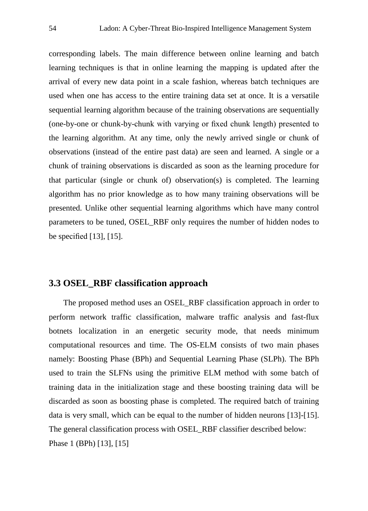corresponding labels. The main difference between online learning and batch learning techniques is that in online learning the mapping is updated after the arrival of every new data point in a scale fashion, whereas batch techniques are used when one has access to the entire training data set at once. It is a versatile sequential learning algorithm because of the training observations are sequentially (one-by-one or chunk-by-chunk with varying or fixed chunk length) presented to the learning algorithm. At any time, only the newly arrived single or chunk of observations (instead of the entire past data) are seen and learned. A single or a chunk of training observations is discarded as soon as the learning procedure for that particular (single or chunk of) observation(s) is completed. The learning algorithm has no prior knowledge as to how many training observations will be presented. Unlike other sequential learning algorithms which have many control parameters to be tuned, OSEL\_RBF only requires the number of hidden nodes to be specified [13], [15].

# **3.3 OSEL\_RBF classification approach**

The proposed method uses an OSEL\_RBF classification approach in order to perform network traffic classification, malware traffic analysis and fast-flux botnets localization in an energetic security mode, that needs minimum computational resources and time. The OS-ELM consists of two main phases namely: Boosting Phase (BPh) and Sequential Learning Phase (SLPh). The BPh used to train the SLFNs using the primitive ELM method with some batch of training data in the initialization stage and these boosting training data will be discarded as soon as boosting phase is completed. The required batch of training data is very small, which can be equal to the number of hidden neurons [13]-[15]. The general classification process with OSEL\_RBF classifier described below: Phase 1 (BPh) [13], [15]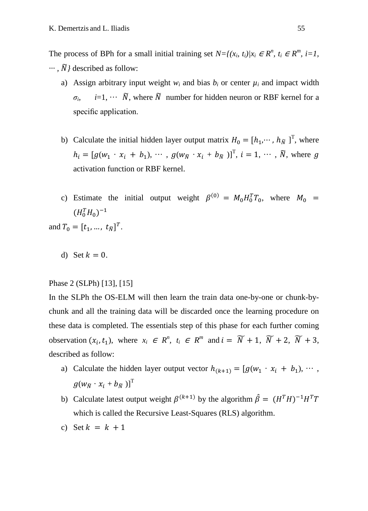The process of BPh for a small initial training set  $N=f(x_i, t_i)/x_i \in \mathbb{R}^n$ ,  $t_i \in \mathbb{R}^m$ ,  $i=1$ , *··· ,* �*}* described as follow:

- a) Assign arbitrary input weight  $w_i$  and bias  $b_i$  or center  $\mu_i$  and impact width  $\sigma_i$ , *i*=1, ···  $\widetilde{N}$ , where  $\widetilde{N}$  number for hidden neuron or RBF kernel for a specific application.
- b) Calculate the initial hidden layer output matrix  $H_0 = [h_1, \dots, h_{\tilde{N}}]^T$ , where  $h_i = [g(w_1 \cdot x_i + b_1), \cdots, g(w_{\tilde{N}} \cdot x_i + b_{\tilde{N}})]^T$ ,  $i = 1, \cdots, \tilde{N}$ , where g activation function or RBF kernel.
- c) Estimate the initial output weight  $\beta^{(0)} = M_0 H_0^T T_0$ , where  $M_0 =$  $(H_0^TH_0)^{-1}$

and  $T_0 = [t_1, ..., t_{\tilde{N}}]^T$ .

d) Set  $k = 0$ .

#### Phase 2 (SLPh) [13], [15]

In the SLPh the OS-ELM will then learn the train data one-by-one or chunk-bychunk and all the training data will be discarded once the learning procedure on these data is completed. The essentials step of this phase for each further coming observation  $(x_i, t_1)$ , where  $x_i \in R^n$ ,  $t_i \in R^m$  and  $i = \widetilde{N} + 1$ ,  $\widetilde{N} + 2$ ,  $\widetilde{N} + 3$ , described as follow:

- a) Calculate the hidden layer output vector  $h_{(k+1)} = [g(w_1 \cdot x_i + b_1), \dots,$  $g(w_{\widetilde{N}} \cdot x_i + b_{\widetilde{N}})]^{\mathrm{T}}$
- b) Calculate latest output weight  $\beta^{(k+1)}$  by the algorithm  $\hat{\beta} = (H^T H)^{-1} H^T T$ which is called the Recursive Least-Squares (RLS) algorithm.
- c) Set  $k = k + 1$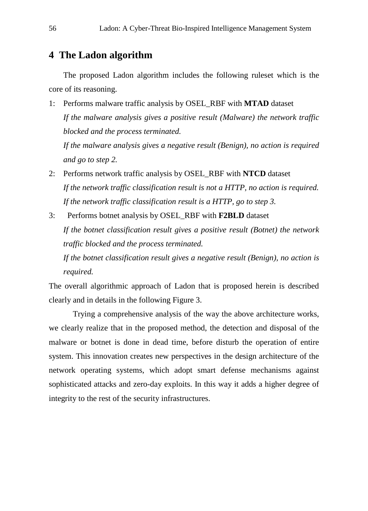# **4 The Ladon algorithm**

The proposed Ladon algorithm includes the following ruleset which is the core of its reasoning.

- 1: Performs malware traffic analysis by OSEL\_RBF with **MTAD** dataset *If the malware analysis gives a positive result (Malware) the network traffic blocked and the process terminated. If the malware analysis gives a negative result (Benign), no action is required and go to step 2.*
- 2: Performs network traffic analysis by OSEL\_RBF with **NTCD** dataset *If the network traffic classification result is not a HTTP, no action is required. If the network traffic classification result is a HTTP, go to step 3.*
- 3: Performs botnet analysis by OSEL\_RBF with **F2BLD** dataset *If the botnet classification result gives a positive result (Botnet) the network traffic blocked and the process terminated.*

*If the botnet classification result gives a negative result (Benign), no action is required.*

The overall algorithmic approach of Ladon that is proposed herein is described clearly and in details in the following Figure 3.

Trying a comprehensive analysis of the way the above architecture works, we clearly realize that in the proposed method, the detection and disposal of the malware or botnet is done in dead time, before disturb the operation of entire system. This innovation creates new perspectives in the design architecture of the network operating systems, which adopt smart defense mechanisms against sophisticated attacks and zero-day exploits. In this way it adds a higher degree of integrity to the rest of the security infrastructures.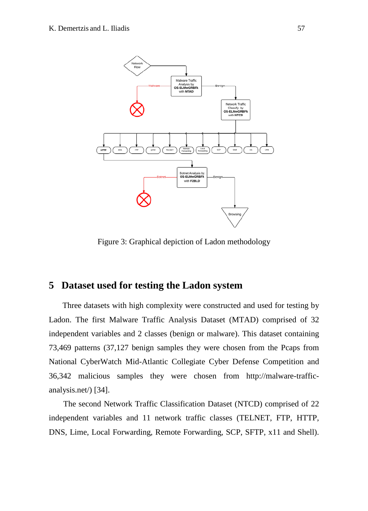

Figure 3: Graphical depiction of Ladon methodology

# **5 Dataset used for testing the Ladon system**

 Three datasets with high complexity were constructed and used for testing by Ladon. The first Malware Traffic Analysis Dataset (MTAD) comprised of 32 independent variables and 2 classes (benign or malware). This dataset containing 73,469 patterns (37,127 benign samples they were chosen from the Pcaps from National CyberWatch Mid-Atlantic Collegiate Cyber Defense Competition and 36,342 malicious samples they were chosen from http://malware-trafficanalysis.net/) [34].

The second Network Traffic Classification Dataset (NTCD) comprised of 22 independent variables and 11 network traffic classes (TELNET, FTP, HTTP, DNS, Lime, Local Forwarding, Remote Forwarding, SCP, SFTP, x11 and Shell).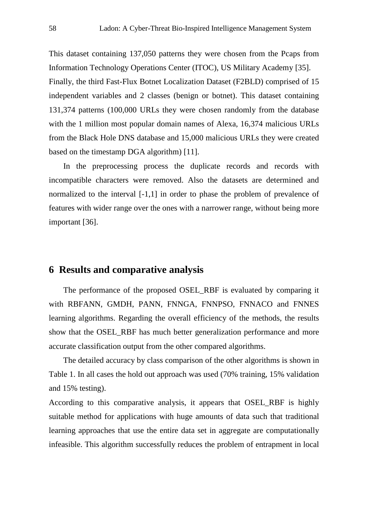This dataset containing 137,050 patterns they were chosen from the Pcaps from Information Technology Operations Center (ITOC), US Military Academy [35]. Finally, the third Fast-Flux Botnet Localization Dataset (F2BLD) comprised of 15 independent variables and 2 classes (benign or botnet). This dataset containing 131,374 patterns (100,000 URLs they were chosen randomly from the database with the 1 million most popular domain names of Alexa, 16,374 malicious URLs from the Black Hole DNS database and 15,000 malicious URLs they were created based on the timestamp DGA algorithm) [11].

In the preprocessing process the duplicate records and records with incompatible characters were removed. Also the datasets are determined and normalized to the interval [-1,1] in order to phase the problem of prevalence of features with wider range over the ones with a narrower range, without being more important [36].

### **6 Results and comparative analysis**

The performance of the proposed OSEL\_RBF is evaluated by comparing it with RBFANN, GMDH, PANN, FNNGA, FNNPSO, FNNACO and FNNES learning algorithms. Regarding the overall efficiency of the methods, the results show that the OSEL\_RBF has much better generalization performance and more accurate classification output from the other compared algorithms.

The detailed accuracy by class comparison of the other algorithms is shown in Table 1. In all cases the hold out approach was used (70% training, 15% validation and 15% testing).

According to this comparative analysis, it appears that OSEL\_RBF is highly suitable method for applications with huge amounts of data such that traditional learning approaches that use the entire data set in aggregate are computationally infeasible. This algorithm successfully reduces the problem of entrapment in local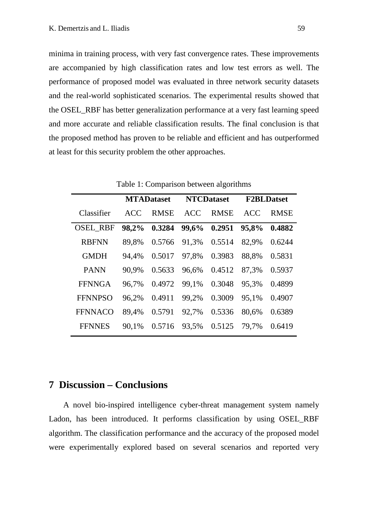minima in training process, with very fast convergence rates. These improvements are accompanied by high classification rates and low test errors as well. The performance of proposed model was evaluated in three network security datasets and the real-world sophisticated scenarios. The experimental results showed that the OSEL\_RBF has better generalization performance at a very fast learning speed and more accurate and reliable classification results. The final conclusion is that the proposed method has proven to be reliable and efficient and has outperformed at least for this security problem the other approaches.

|                 | <b>MTADataset</b> |             | <b>NTCDataset</b> |             | <b>F2BLDatset</b> |             |
|-----------------|-------------------|-------------|-------------------|-------------|-------------------|-------------|
| Classifier      | <b>ACC</b>        | <b>RMSE</b> | <b>ACC</b>        | <b>RMSE</b> | <b>ACC</b>        | <b>RMSE</b> |
| <b>OSEL_RBF</b> | 98,2%             | 0.3284      | 99,6%             | 0.2951      | 95,8%             | 0.4882      |
| <b>RBFNN</b>    | 89,8%             | 0.5766      | 91,3%             | 0.5514      | 82,9%             | 0.6244      |
| <b>GMDH</b>     | 94,4%             | 0.5017      | 97,8%             | 0.3983      | 88,8%             | 0.5831      |
| <b>PANN</b>     | 90,9%             | 0.5633      | 96,6%             | 0.4512      | 87,3%             | 0.5937      |
| <b>FFNNGA</b>   | 96,7%             | 0.4972      | 99,1%             | 0.3048      | 95,3%             | 0.4899      |
| <b>FFNNPSO</b>  | 96,2%             | 0.4911      | 99,2%             | 0.3009      | 95,1%             | 0.4907      |
| <b>FFNNACO</b>  | 89,4%             | 0.5791      | 92,7%             | 0.5336      | 80,6%             | 0.6389      |
| <b>FFNNES</b>   | 90,1%             | 0.5716      | 93,5%             | 0.5125      | 79,7%             | 0.6419      |

Table 1: Comparison between algorithms

### **7 Discussion – Conclusions**

A novel bio-inspired intelligence cyber-threat management system namely Ladon, has been introduced. It performs classification by using OSEL\_RBF algorithm. The classification performance and the accuracy of the proposed model were experimentally explored based on several scenarios and reported very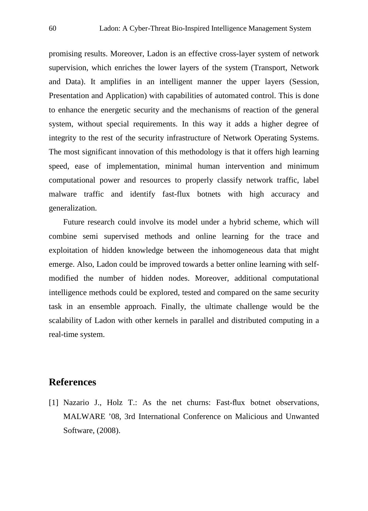promising results. Moreover, Ladon is an effective cross-layer system of network supervision, which enriches the lower layers of the system (Transport, Network and Data). It amplifies in an intelligent manner the upper layers (Session, Presentation and Application) with capabilities of automated control. This is done to enhance the energetic security and the mechanisms of reaction of the general system, without special requirements. In this way it adds a higher degree of integrity to the rest of the security infrastructure of Network Operating Systems. The most significant innovation of this methodology is that it offers high learning speed, ease of implementation, minimal human intervention and minimum computational power and resources to properly classify network traffic, label malware traffic and identify fast-flux botnets with high accuracy and generalization.

Future research could involve its model under a hybrid scheme, which will combine semi supervised methods and online learning for the trace and exploitation of hidden knowledge between the inhomogeneous data that might emerge. Also, Ladon could be improved towards a better online learning with selfmodified the number of hidden nodes. Moreover, additional computational intelligence methods could be explored, tested and compared on the same security task in an ensemble approach. Finally, the ultimate challenge would be the scalability of Ladon with other kernels in parallel and distributed computing in a real-time system.

# **References**

[1] Nazario J., Holz T.: As the net churns: Fast-flux botnet observations, MALWARE '08, 3rd International Conference on Malicious and Unwanted Software, (2008).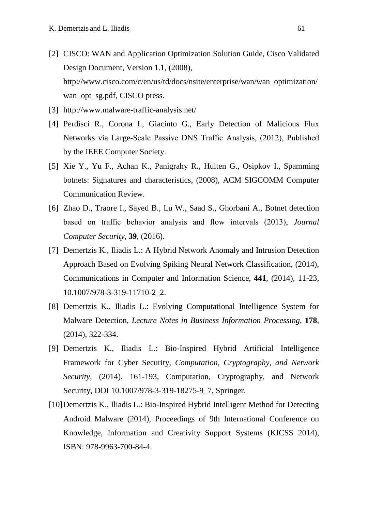- [2] CISCO: WAN and Application Optimization Solution Guide, Cisco Validated Design Document, Version 1.1, (2008), http://www.cisco.com/c/en/us/td/docs/nsite/enterprise/wan/wan\_optimization/ wan\_opt\_sg.pdf, CISCO press.
- [3] <http://www.malware-traffic-analysis.net/>
- [4] Perdisci R., Corona I., Giacinto G., Early Detection of Malicious Flux Networks via Large-Scale Passive DNS Traffic Analysis, (2012), Published by the IEEE Computer Society.
- [5] Xie Y., Yu F., Achan K., Panigrahy R., Hulten G., Osipkov I., Spamming botnets: Signatures and characteristics, (2008), ACM SIGCOMM Computer Communication Review.
- [6] Zhao D., Traore I., Sayed B., Lu W., Saad S., Ghorbani A., Botnet detection based on traffic behavior analysis and flow intervals (2013), *Journal Computer Security*, **39**, (2016).
- [7] Demertzis K., Iliadis L.: A Hybrid Network Anomaly and Intrusion Detection Approach Based on Evolving Spiking Neural Network Classification, (2014), Communications in Computer and Information Science, **441**, (2014), 11-23, 10.1007/978-3-319-11710-2\_2.
- [8] Demertzis K., Iliadis L.: Evolving Computational Intelligence System for Malware Detection, *Lecture Notes in Business Information Processing*, **178**, (2014), 322-334.
- [9] Demertzis K., Iliadis L.: Bio-Inspired Hybrid Artificial Intelligence Framework for Cyber Security, *Computation, Cryptography, and Network Security*, (2014), 161-193, Computation, Cryptography, and Network Security, DOI 10.1007/978-3-319-18275-9 7, Springer.
- [10] Demertzis K., Iliadis L.: Bio-Inspired Hybrid Intelligent Method for Detecting Android Malware (2014), Proceedings of 9th International Conference on Knowledge, Information and Creativity Support Systems (KICSS 2014), ISBN: 978-9963-700-84-4.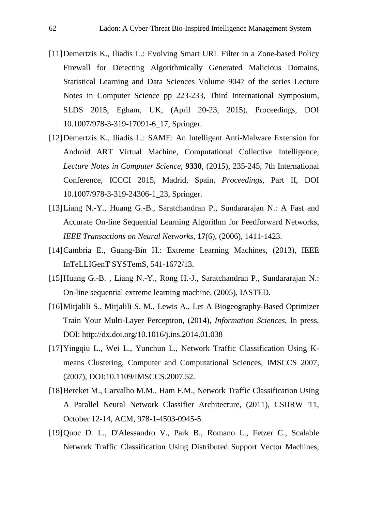- [11]Demertzis K., Iliadis L.: Evolving Smart URL Filter in a Zone-based Policy Firewall for Detecting Algorithmically Generated Malicious Domains, Statistical Learning and Data Sciences Volume 9047 of the series Lecture Notes in Computer Science pp 223-233, Third International Symposium, SLDS 2015, Egham, UK, (April 20-23, 2015), Proceedings, DOI 10.1007/978-3-319-17091-6\_17, Springer.
- [12]Demertzis K., Iliadis L.: SAME: An Intelligent Anti-Malware Extension for Android ART Virtual Machine, Computational Collective Intelligence, *Lecture Notes in Computer Science*, **9330**, (2015), 235-245, 7th International Conference, ICCCI 2015, Madrid, Spain, *Proceedings*, Part II, DOI 10.1007/978-3-319-24306-1\_23, Springer.
- [13]Liang N.-Y., Huang G.-B., Saratchandran P., Sundararajan N.: A Fast and Accurate On-line Sequential Learning Algorithm for Feedforward Networks, *IEEE Transactions on Neural Networks*, **17**(6), (2006), 1411-1423.
- [14]Cambria E., Guang-Bin H.: Extreme Learning Machines, (2013), IEEE InTeLLIGenT SYSTemS, 541-1672/13.
- [15]Huang G.-B. , Liang N.-Y., Rong H.-J., Saratchandran P., Sundararajan N.: On-line sequential extreme learning machine, (2005), IASTED.
- [16]Mirjalili S., Mirjalili S. M., Lewis A., Let A Biogeography-Based Optimizer Train Your Multi-Layer Perceptron, (2014), *Information Sciences*, In press, DOI:<http://dx.doi.org/10.1016/j.ins.2014.01.038>
- [17]Yingqiu L., Wei L., Yunchun L., Network Traffic Classification Using Kmeans Clustering, Computer and Computational Sciences, IMSCCS 2007, (2007), DOI:10.1109/IMSCCS.2007.52.
- [18]Bereket M., Carvalho M.M., Ham F.M., Network Traffic Classification Using A Parallel Neural Network Classifier Architecture, (2011), CSIIRW '11, October 12-14, ACM, 978-1-4503-0945-5.
- [19]Quoc D. L., D'Alessandro V., Park B., Romano L., Fetzer C., Scalable Network Traffic Classification Using Distributed Support Vector Machines,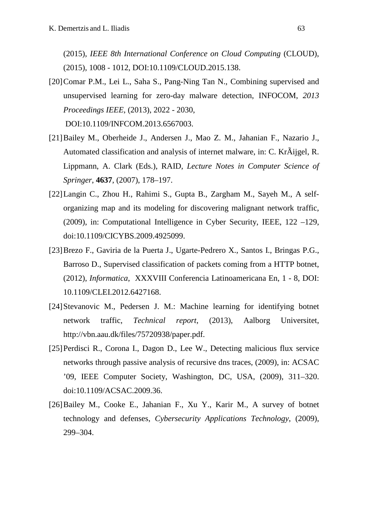(2015), *IEEE 8th International Conference on Cloud Computing* (CLOUD), (2015), 1008 - 1012, DOI:10.1109/CLOUD.2015.138.

[20] Comar P.M., Lei L., Saha S., Pang-Ning Tan N., Combining supervised and unsupervised learning for zero-day malware detection, INFOCOM, *2013 Proceedings IEEE*, (2013), 2022 - 2030,

DOI:10.1109/INFCOM.2013.6567003.

- [21]Bailey M., Oberheide J., Andersen J., Mao Z. M., Jahanian F., Nazario J., Automated classification and analysis of internet malware, in: C. KrÃijgel, R. Lippmann, A. Clark (Eds.), RAID, *Lecture Notes in Computer Science of Springer*, **4637**, (2007), 178–197.
- [22]Langin C., Zhou H., Rahimi S., Gupta B., Zargham M., Sayeh M., A selforganizing map and its modeling for discovering malignant network traffic, (2009), in: Computational Intelligence in Cyber Security, IEEE, 122 –129, doi:10.1109/CICYBS.2009.4925099.
- [23]Brezo F., Gaviria de la Puerta J., Ugarte-Pedrero X., Santos I., Bringas P.G., Barroso D., Supervised classification of packets coming from a HTTP botnet, (2012), *Informatica*, XXXVIII Conferencia Latinoamericana En, 1 - 8, DOI: 10.1109/CLEI.2012.6427168.
- [24]Stevanovic M., Pedersen J. M.: Machine learning for identifying botnet network traffic, *Technical report*, (2013), Aalborg Universitet, [http://vbn.aau.dk/files/75720938/paper.pdf.](http://vbn.aau.dk/files/75720938/paper.pdf)
- [25] Perdisci R., Corona I., Dagon D., Lee W., Detecting malicious flux service networks through passive analysis of recursive dns traces, (2009), in: ACSAC '09, IEEE Computer Society, Washington, DC, USA, (2009), 311–320. doi:10.1109/ACSAC.2009.36.
- [26]Bailey M., Cooke E., Jahanian F., Xu Y., Karir M., A survey of botnet technology and defenses, *Cybersecurity Applications Technology*, (2009), 299–304.